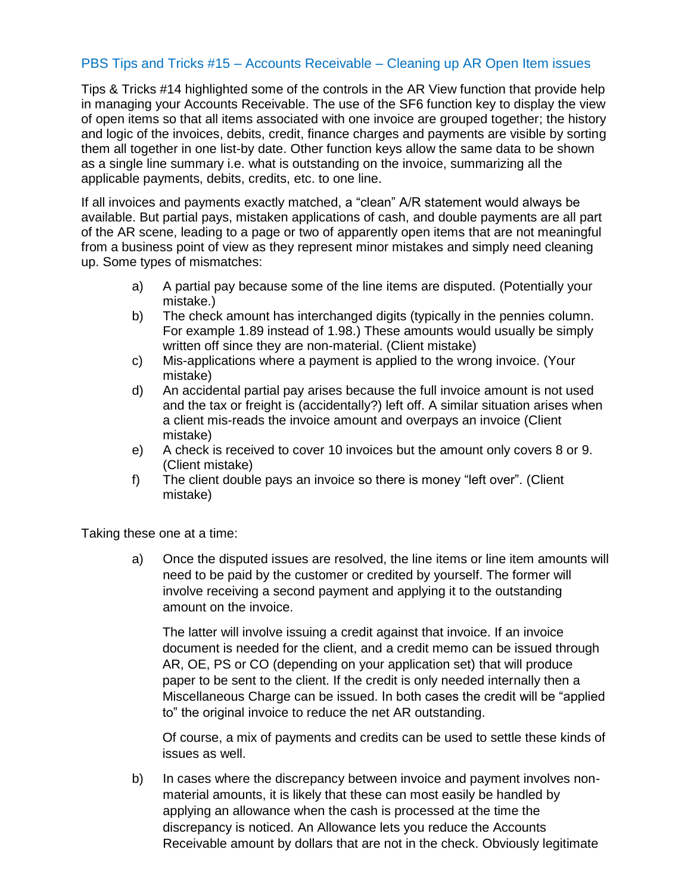## PBS Tips and Tricks #15 – Accounts Receivable – Cleaning up AR Open Item issues

Tips & Tricks #14 highlighted some of the controls in the AR View function that provide help in managing your Accounts Receivable. The use of the SF6 function key to display the view of open items so that all items associated with one invoice are grouped together; the history and logic of the invoices, debits, credit, finance charges and payments are visible by sorting them all together in one list-by date. Other function keys allow the same data to be shown as a single line summary i.e. what is outstanding on the invoice, summarizing all the applicable payments, debits, credits, etc. to one line.

If all invoices and payments exactly matched, a "clean" A/R statement would always be available. But partial pays, mistaken applications of cash, and double payments are all part of the AR scene, leading to a page or two of apparently open items that are not meaningful from a business point of view as they represent minor mistakes and simply need cleaning up. Some types of mismatches:

- a) A partial pay because some of the line items are disputed. (Potentially your mistake.)
- b) The check amount has interchanged digits (typically in the pennies column. For example 1.89 instead of 1.98.) These amounts would usually be simply written off since they are non-material. (Client mistake)
- c) Mis-applications where a payment is applied to the wrong invoice. (Your mistake)
- d) An accidental partial pay arises because the full invoice amount is not used and the tax or freight is (accidentally?) left off. A similar situation arises when a client mis-reads the invoice amount and overpays an invoice (Client mistake)
- e) A check is received to cover 10 invoices but the amount only covers 8 or 9. (Client mistake)
- f) The client double pays an invoice so there is money "left over". (Client mistake)

Taking these one at a time:

a) Once the disputed issues are resolved, the line items or line item amounts will need to be paid by the customer or credited by yourself. The former will involve receiving a second payment and applying it to the outstanding amount on the invoice.

The latter will involve issuing a credit against that invoice. If an invoice document is needed for the client, and a credit memo can be issued through AR, OE, PS or CO (depending on your application set) that will produce paper to be sent to the client. If the credit is only needed internally then a Miscellaneous Charge can be issued. In both cases the credit will be "applied to" the original invoice to reduce the net AR outstanding.

Of course, a mix of payments and credits can be used to settle these kinds of issues as well.

b) In cases where the discrepancy between invoice and payment involves nonmaterial amounts, it is likely that these can most easily be handled by applying an allowance when the cash is processed at the time the discrepancy is noticed. An Allowance lets you reduce the Accounts Receivable amount by dollars that are not in the check. Obviously legitimate